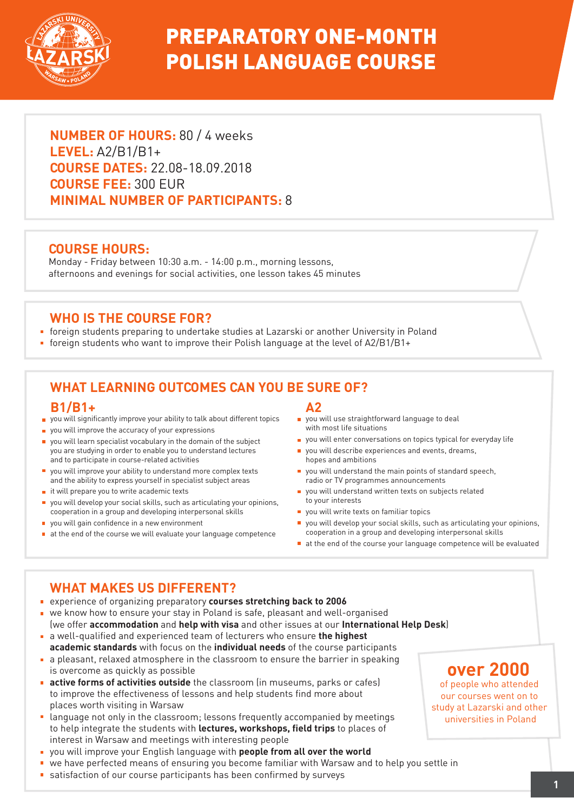

# PREPARATORY ONE-MONTH POLISH LANGUAGE COURSE

**NUMBER OF HOURS:** 80 / 4 weeks **LEVEL:** A2/B1/B1+ **COURSE DATES:** 22.08-18.09.2018 **COURSE FEE:** 300 EUR **MINIMAL NUMBER OF PARTICIPANTS:** 8

### **COURSE HOURS:**

Monday - Friday between 10:30 a.m. - 14:00 p.m., morning lessons, afternoons and evenings for social activities, one lesson takes 45 minutes

### **WHO IS THE COURSE FOR?**

- foreign students preparing to undertake studies at Lazarski or another University in Poland
- foreign students who want to improve their Polish language at the level of A2/B1/B1+

## **WHAT LEARNING OUTCOMES CAN YOU BE SURE OF?**

#### **B1/B1+**

- vou will significantly improve your ability to talk about different topics
- vou will improve the accuracy of your expressions
- vou will learn specialist vocabulary in the domain of the subject you are studying in order to enable you to understand lectures and to participate in course-related activities
- you will improve your ability to understand more complex texts and the ability to express yourself in specialist subject areas
- $\blacksquare$  it will prepare you to write academic texts
- you will develop your social skills, such as articulating your opinions, cooperation in a group and developing interpersonal skills
- vou will gain confidence in a new environment
- $\blacksquare$  at the end of the course we will evaluate your language competence

#### **A2**

- **p** you will use straightforward language to deal with most life situations
- vou will enter conversations on topics typical for everyday life
- vou will describe experiences and events, dreams, hopes and ambitions
- $\blacksquare$  you will understand the main points of standard speech. radio or TV programmes announcements
- vou will understand written texts on subjects related to your interests
- vou will write texts on familiar topics
- you will develop your social skills, such as articulating your opinions, cooperation in a group and developing interpersonal skills
- at the end of the course your language competence will be evaluated

## **WHAT MAKES US DIFFERENT?**

- experience of organizing preparatory **courses stretching back to 2006**
- we know how to ensure your stay in Poland is safe, pleasant and well-organised (we offer **accommodation** and **help with visa** and other issues at our **International Help Desk**)
- a well-qualified and experienced team of lecturers who ensure **the highest academic standards** with focus on the **individual needs** of the course participants
- a pleasant, relaxed atmosphere in the classroom to ensure the barrier in speaking is overcome as quickly as possible
- **active forms of activities outside** the classroom (in museums, parks or cafes) to improve the effectiveness of lessons and help students find more about places worth visiting in Warsaw
- language not only in the classroom; lessons frequently accompanied by meetings to help integrate the students with **lectures, workshops, field trips** to places of interest in Warsaw and meetings with interesting people
- you will improve your English language with **people from all over the world**
- we have perfected means of ensuring you become familiar with Warsaw and to help you settle in
- satisfaction of our course participants has been confirmed by surveys

## **over 2000**

of people who attended our courses went on to study at Lazarski and other universities in Poland